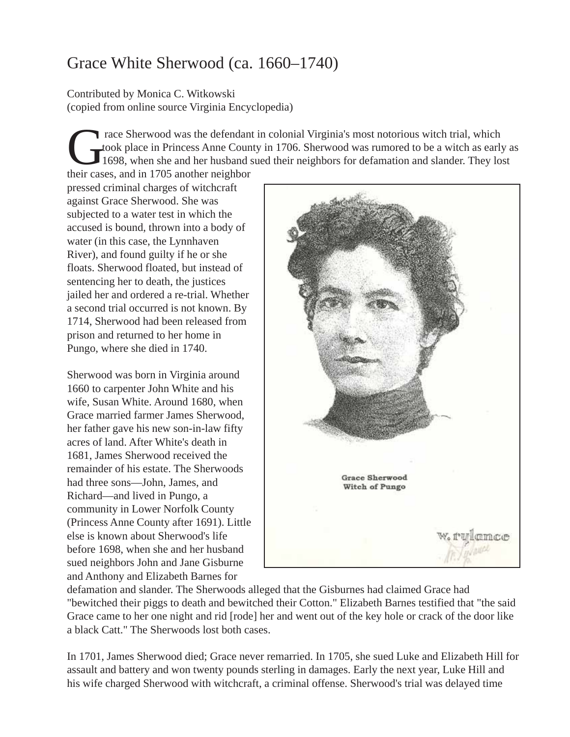## Grace White Sherwood (ca. 1660–1740)

Contributed by Monica C. Witkowski (copied from online source Virginia Encyclopedia)

Trace Sherwood was the defendant in colonial Virginia's most notorious witch trial, which<br>took place in Princess Anne County in 1706. Sherwood was rumored to be a witch as earl<br>1698, when she and her husband sued their nei took place in Princess Anne County in 1706. Sherwood was rumored to be a witch as early as 1698, when she and her husband sued their neighbors for defamation and slander. They lost

their cases, and in 1705 another neighbor pressed criminal charges of witchcraft against Grace Sherwood. She was subjected to a water test in which the accused is bound, thrown into a body of water (in this case, the Lynnhaven River), and found guilty if he or she floats. Sherwood floated, but instead of sentencing her to death, the justices jailed her and ordered a re-trial. Whether a second trial occurred is not known. By 1714, Sherwood had been released from prison and returned to her home in Pungo, where she died in 1740.

Sherwood was born in Virginia around 1660 to carpenter John White and his wife, Susan White. Around 1680, when Grace married farmer James Sherwood, her father gave his new son-in-law fifty acres of land. After White's death in 1681, James Sherwood received the remainder of his estate. The Sherwoods had three sons—John, James, and Richard—and lived in Pungo, a community in Lower Norfolk County (Princess Anne County after 1691). Little else is known about Sherwood's life before 1698, when she and her husband sued neighbors John and Jane Gisburne and Anthony and Elizabeth Barnes for



defamation and slander. The Sherwoods alleged that the Gisburnes had claimed Grace had "bewitched their piggs to death and bewitched their Cotton." Elizabeth Barnes testified that "the said Grace came to her one night and rid [rode] her and went out of the key hole or crack of the door like a black Catt." The Sherwoods lost both cases.

In 1701, James Sherwood died; Grace never remarried. In 1705, she sued Luke and Elizabeth Hill for assault and battery and won twenty pounds sterling in damages. Early the next year, Luke Hill and his wife charged Sherwood with witchcraft, a criminal offense. Sherwood's trial was delayed time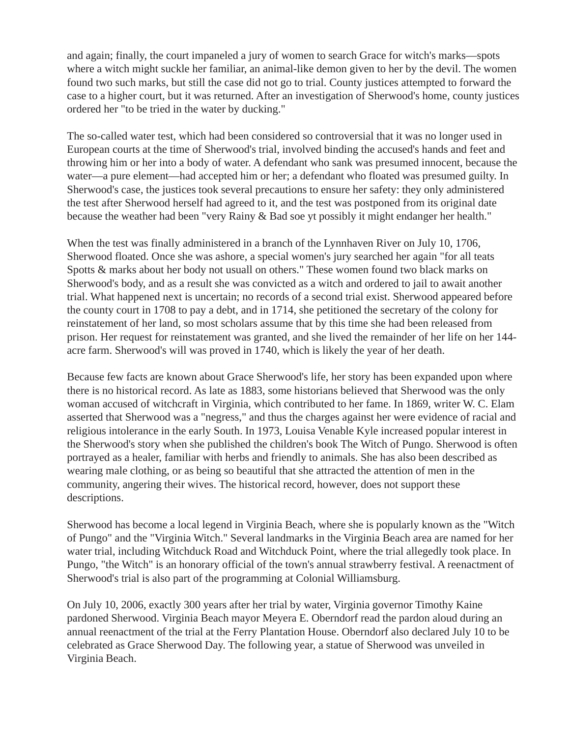and again; finally, the court impaneled a jury of women to search Grace for witch's marks—spots where a witch might suckle her familiar, an animal-like demon given to her by the devil. The women found two such marks, but still the case did not go to trial. County justices attempted to forward the case to a higher court, but it was returned. After an investigation of Sherwood's home, county justices ordered her "to be tried in the water by ducking."

The so-called water test, which had been considered so controversial that it was no longer used in European courts at the time of Sherwood's trial, involved binding the accused's hands and feet and throwing him or her into a body of water. A defendant who sank was presumed innocent, because the water—a pure element—had accepted him or her; a defendant who floated was presumed guilty. In Sherwood's case, the justices took several precautions to ensure her safety: they only administered the test after Sherwood herself had agreed to it, and the test was postponed from its original date because the weather had been "very Rainy & Bad soe yt possibly it might endanger her health."

When the test was finally administered in a branch of the Lynnhaven River on July 10, 1706, Sherwood floated. Once she was ashore, a special women's jury searched her again "for all teats Spotts & marks about her body not usuall on others." These women found two black marks on Sherwood's body, and as a result she was convicted as a witch and ordered to jail to await another trial. What happened next is uncertain; no records of a second trial exist. Sherwood appeared before the county court in 1708 to pay a debt, and in 1714, she petitioned the secretary of the colony for reinstatement of her land, so most scholars assume that by this time she had been released from prison. Her request for reinstatement was granted, and she lived the remainder of her life on her 144 acre farm. Sherwood's will was proved in 1740, which is likely the year of her death.

Because few facts are known about Grace Sherwood's life, her story has been expanded upon where there is no historical record. As late as 1883, some historians believed that Sherwood was the only woman accused of witchcraft in Virginia, which contributed to her fame. In 1869, writer W. C. Elam asserted that Sherwood was a "negress," and thus the charges against her were evidence of racial and religious intolerance in the early South. In 1973, Louisa Venable Kyle increased popular interest in the Sherwood's story when she published the children's book The Witch of Pungo. Sherwood is often portrayed as a healer, familiar with herbs and friendly to animals. She has also been described as wearing male clothing, or as being so beautiful that she attracted the attention of men in the community, angering their wives. The historical record, however, does not support these descriptions.

Sherwood has become a local legend in Virginia Beach, where she is popularly known as the "Witch of Pungo" and the "Virginia Witch." Several landmarks in the Virginia Beach area are named for her water trial, including Witchduck Road and Witchduck Point, where the trial allegedly took place. In Pungo, "the Witch" is an honorary official of the town's annual strawberry festival. A reenactment of Sherwood's trial is also part of the programming at Colonial Williamsburg.

On July 10, 2006, exactly 300 years after her trial by water, Virginia governor Timothy Kaine pardoned Sherwood. Virginia Beach mayor Meyera E. Oberndorf read the pardon aloud during an annual reenactment of the trial at the Ferry Plantation House. Oberndorf also declared July 10 to be celebrated as Grace Sherwood Day. The following year, a statue of Sherwood was unveiled in Virginia Beach.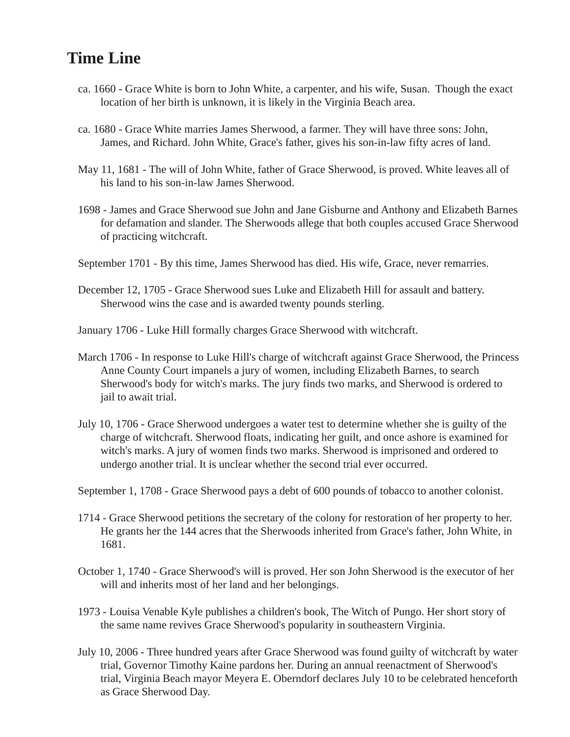## **Time Line**

- ca. 1660 Grace White is born to John White, a carpenter, and his wife, Susan. Though the exact location of her birth is unknown, it is likely in the Virginia Beach area.
- ca. 1680 Grace White marries James Sherwood, a farmer. They will have three sons: John, James, and Richard. John White, Grace's father, gives his son-in-law fifty acres of land.
- May 11, 1681 The will of John White, father of Grace Sherwood, is proved. White leaves all of his land to his son-in-law James Sherwood.
- 1698 James and Grace Sherwood sue John and Jane Gisburne and Anthony and Elizabeth Barnes for defamation and slander. The Sherwoods allege that both couples accused Grace Sherwood of practicing witchcraft.
- September 1701 By this time, James Sherwood has died. His wife, Grace, never remarries.
- December 12, 1705 Grace Sherwood sues Luke and Elizabeth Hill for assault and battery. Sherwood wins the case and is awarded twenty pounds sterling.
- January 1706 Luke Hill formally charges Grace Sherwood with witchcraft.
- March 1706 In response to Luke Hill's charge of witchcraft against Grace Sherwood, the Princess Anne County Court impanels a jury of women, including Elizabeth Barnes, to search Sherwood's body for witch's marks. The jury finds two marks, and Sherwood is ordered to jail to await trial.
- July 10, 1706 Grace Sherwood undergoes a water test to determine whether she is guilty of the charge of witchcraft. Sherwood floats, indicating her guilt, and once ashore is examined for witch's marks. A jury of women finds two marks. Sherwood is imprisoned and ordered to undergo another trial. It is unclear whether the second trial ever occurred.

September 1, 1708 - Grace Sherwood pays a debt of 600 pounds of tobacco to another colonist.

- 1714 Grace Sherwood petitions the secretary of the colony for restoration of her property to her. He grants her the 144 acres that the Sherwoods inherited from Grace's father, John White, in 1681.
- October 1, 1740 Grace Sherwood's will is proved. Her son John Sherwood is the executor of her will and inherits most of her land and her belongings.
- 1973 Louisa Venable Kyle publishes a children's book, The Witch of Pungo. Her short story of the same name revives Grace Sherwood's popularity in southeastern Virginia.
- July 10, 2006 Three hundred years after Grace Sherwood was found guilty of witchcraft by water trial, Governor Timothy Kaine pardons her. During an annual reenactment of Sherwood's trial, Virginia Beach mayor Meyera E. Oberndorf declares July 10 to be celebrated henceforth as Grace Sherwood Day.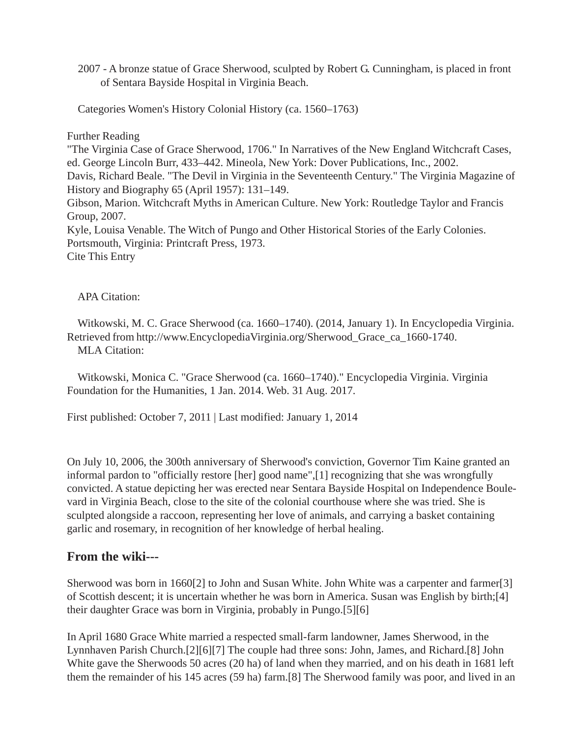2007 - A bronze statue of Grace Sherwood, sculpted by Robert G. Cunningham, is placed in front of Sentara Bayside Hospital in Virginia Beach.

Categories Women's History Colonial History (ca. 1560–1763)

Further Reading

"The Virginia Case of Grace Sherwood, 1706." In Narratives of the New England Witchcraft Cases, ed. George Lincoln Burr, 433–442. Mineola, New York: Dover Publications, Inc., 2002. Davis, Richard Beale. "The Devil in Virginia in the Seventeenth Century." The Virginia Magazine of History and Biography 65 (April 1957): 131–149. Gibson, Marion. Witchcraft Myths in American Culture. New York: Routledge Taylor and Francis Group, 2007. Kyle, Louisa Venable. The Witch of Pungo and Other Historical Stories of the Early Colonies. Portsmouth, Virginia: Printcraft Press, 1973. Cite This Entry

APA Citation:

 Witkowski, M. C. Grace Sherwood (ca. 1660–1740). (2014, January 1). In Encyclopedia Virginia. Retrieved from http://www.EncyclopediaVirginia.org/Sherwood\_Grace\_ca\_1660-1740. MLA Citation:

 Witkowski, Monica C. "Grace Sherwood (ca. 1660–1740)." Encyclopedia Virginia. Virginia Foundation for the Humanities, 1 Jan. 2014. Web. 31 Aug. 2017.

First published: October 7, 2011 | Last modified: January 1, 2014

On July 10, 2006, the 300th anniversary of Sherwood's conviction, Governor Tim Kaine granted an informal pardon to "officially restore [her] good name",[1] recognizing that she was wrongfully convicted. A statue depicting her was erected near Sentara Bayside Hospital on Independence Boulevard in Virginia Beach, close to the site of the colonial courthouse where she was tried. She is sculpted alongside a raccoon, representing her love of animals, and carrying a basket containing garlic and rosemary, in recognition of her knowledge of herbal healing.

## **From the wiki---**

Sherwood was born in 1660[2] to John and Susan White. John White was a carpenter and farmer[3] of Scottish descent; it is uncertain whether he was born in America. Susan was English by birth;[4] their daughter Grace was born in Virginia, probably in Pungo.[5][6]

In April 1680 Grace White married a respected small-farm landowner, James Sherwood, in the Lynnhaven Parish Church.[2][6][7] The couple had three sons: John, James, and Richard.[8] John White gave the Sherwoods 50 acres (20 ha) of land when they married, and on his death in 1681 left them the remainder of his 145 acres (59 ha) farm.[8] The Sherwood family was poor, and lived in an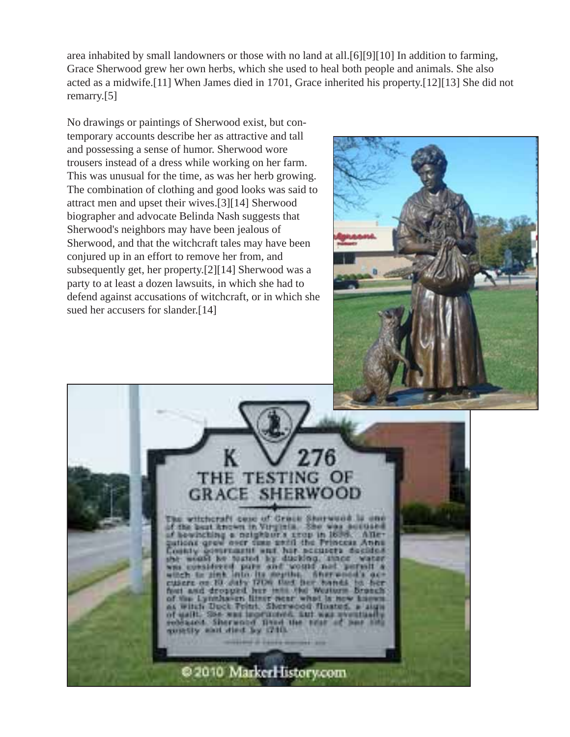area inhabited by small landowners or those with no land at all.[6][9][10] In addition to farming, Grace Sherwood grew her own herbs, which she used to heal both people and animals. She also acted as a midwife.[11] When James died in 1701, Grace inherited his property.[12][13] She did not remarry.[5]

No drawings or paintings of Sherwood exist, but contemporary accounts describe her as attractive and tall and possessing a sense of humor. Sherwood wore trousers instead of a dress while working on her farm. This was unusual for the time, as was her herb growing. The combination of clothing and good looks was said to attract men and upset their wives.[3][14] Sherwood biographer and advocate Belinda Nash suggests that Sherwood's neighbors may have been jealous of Sherwood, and that the witchcraft tales may have been conjured up in an effort to remove her from, and subsequently get, her property.[2][14] Sherwood was a party to at least a dozen lawsuits, in which she had to defend against accusations of witchcraft, or in which she sued her accusers for slander.[14]